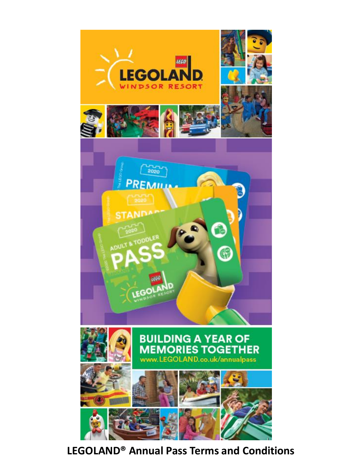

# **LEGOLAND® Annual Pass Terms and Conditions**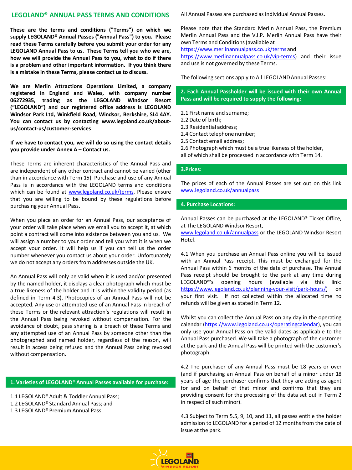# **LEGOLAND® ANNUAL PASS TERMS AND CONDITIONS**

**These are the terms and conditions ("Terms") on which we supply LEGOLAND® Annual Passes ("Annual Pass") to you. Please read these Terms carefully before you submit your order for any LEGOLAND Annual Pass to us. These Terms tell you who we are, how we will provide the Annual Pass to you, what to do if there is a problem and other important information. If you think there is a mistake in these Terms, please contact us to discuss.**

**We are Merlin Attractions Operations Limited, a company registered in England and Wales, with company number 06272935, trading as the LEGOLAND Windsor Resort ("LEGOLAND") and our registered office address is LEGOLAND Windsor Park Ltd, Winkfield Road, Windsor, Berkshire, SL4 4AY. You can contact us by contacting www.legoland.co.uk/aboutus/contact-us/customer-services**

## **If we have to contact you, we will do so using the contact details you provide under Annex A – Contact us.**

These Terms are inherent characteristics of the Annual Pass and are independent of any other contract and cannot be varied (other than in accordance with Term 15). Purchase and use of any Annual Pass is in accordance with the LEGOLAND terms and conditions which can be found at [www.legoland.co.uk/terms.](https://www.legoland.co.uk/tickets-and-passes/terms-and-conditions/park/) Please ensure that you are willing to be bound by these regulations before purchasing your Annual Pass.

When you place an order for an Annual Pass, our acceptance of your order will take place when we email you to accept it, at which point a contract will come into existence between you and us. We will assign a number to your order and tell you what it is when we accept your order. It will help us if you can tell us the order number whenever you contact us about your order. Unfortunately we do not accept any orders from addresses outside the UK.

An Annual Pass will only be valid when it is used and/or presented by the named holder, it displays a clear photograph which must be a true likeness of the holder and it is within the validity period (as defined in Term 4.3). Photocopies of an Annual Pass will not be accepted. Any use or attempted use of an Annual Pass in breach of these Terms or the relevant attraction's regulations will result in the Annual Pass being revoked without compensation. For the avoidance of doubt, pass sharing is a breach of these Terms and any attempted use of an Annual Pass by someone other than the photographed and named holder, regardless of the reason, will result in access being refused and the Annual Pass being revoked without compensation.

## **1. Varieties of LEGOLAND®Annual Passes available for purchase:**

- 1.1 LEGOLAND®Adult & Toddler Annual Pass;
- 1.2 LEGOLAND® Standard Annual Pass; and
- 1.3 LEGOLAND® Premium Annual Pass.

All Annual Passes are purchased as individual Annual Passes.

Please note that the Standard Merlin Annual Pass, the Premium Merlin Annual Pass and the V.I.P. Merlin Annual Pass have their own Terms and Conditions(available at

<https://www.merlinannualpass.co.uk/terms> and

[https://www.merlinannualpass.co.uk/vip-terms\)](https://www.merlinannualpass.co.uk/vip-terms) and their issue and use is not governed by these Terms.

The following sections apply to All LEGOLANDAnnual Passes:

# **2. Each Annual Passholder will be issued with their own Annual Pass and will be required to supply the following:**

- 2.1 First name and surname;
- 2.2 Date of birth;
- 2.3 Residential address;
- 2.4 Contact telephone number;
- 2.5 Contact email address;
- 2.6 Photograph which must be a true likeness of the holder, all of which shall be processed in accordance with Term 14.

## **3.Prices:**

The prices of each of the Annual Passes are set out on this link [www.legoland.co.uk/annualpass](http://www.legoland.co.uk/annualpass)

## **4. Purchase Locations:**

Annual Passes can be purchased at the LEGOLAND® Ticket Office, at The LEGOLAND Windsor Resort,

[www.legoland.co.uk/annualpass](http://www.legoland.co.uk/annualpass) or the LEGOLAND Windsor Resort Hotel.

4.1 When you purchase an Annual Pass online you will be issued with an Annual Pass receipt. This must be exchanged for the Annual Pass within 6 months of the date of purchase. The Annual Pass receipt should be brought to the park at any time during LEGOLAND®'s opening hours (available via this link: [https://www.legoland.co.uk/planning-your-visit/park-hours/\)](https://www.legoland.co.uk/planning-your-visit/park-hours/) on your first visit. If not collected within the allocated time no refunds will be given as stated in Term 12.

Whilst you can collect the Annual Pass on any day in the operating calendar [\(https://www.legoland.co.uk/operatingcalendar\)](https://www.legoland.co.uk/operatingcalendar), you can only use your Annual Pass on the valid dates as applicable to the Annual Pass purchased. We will take a photograph of the customer at the park and the Annual Pass will be printed with the customer's photograph.

4.2 The purchaser of any Annual Pass must be 18 years or over (and if purchasing an Annual Pass on behalf of a minor under 18 years of age the purchaser confirms that they are acting as agent for and on behalf of that minor and confirms that they are providing consent for the processing of the data set out in Term 2 in respect of such minor).

4.3 Subject to Term 5.5, 9, 10, and 11, all passes entitle the holder admission to LEGOLAND for a period of 12 months from the date of issue at the park.

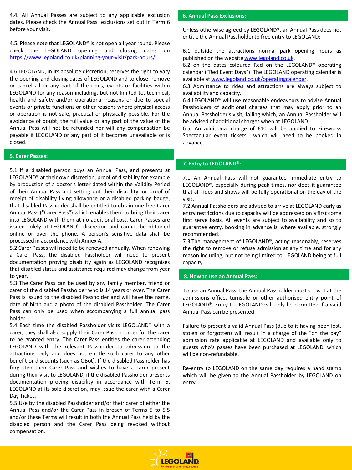4.4. All Annual Passes are subject to any applicable exclusion dates. Please check the Annual Pass exclusions set out in Term 6 before your visit.

4.5. Please note that LEGOLAND® is not open all year round. Please check the LEGOLAND opening and closing dates on <https://www.legoland.co.uk/planning-your-visit/park-hours/>,

4.6 LEGOLAND, in its absolute discretion, reserves the right to vary the opening and closing dates of LEGOLAND and to close, remove or cancel all or any part of the rides, events or facilities within LEGOLAND for any reason including, but not limited to, technical, health and safety and/or operational reasons or due to special events or private functions or other reasons where physical access or operation is not safe, practical or physically possible. For the avoidance of doubt, the full value or any part of the value of the Annual Pass will not be refunded nor will any compensation be payable if LEGOLAND or any part of it becomes unavailable or is closed.

# **5. Carer Passes:**

5.1 If a disabled person buys an Annual Pass, and presents at LEGOLAND® at their own discretion, proof of disability for example by production of a doctor's letter dated within the Validity Period of their Annual Pass and setting out their disability, or proof of receipt of disability living allowance or a disabled parking badge, that disabled Passholder shall be entitled to obtain one free Carer Annual Pass ("Carer Pass") which enables them to bring their carer into LEGOLAND with them at no additional cost. Carer Passes are issued solely at LEGOLAND's discretion and cannot be obtained online or over the phone. A person's sensitive data shall be processed in accordance with Annex A.

5.2 Carer Passes will need to be renewed annually. When renewing a Carer Pass, the disabled Passholder will need to present documentation proving disability again as LEGOLAND recognises that disabled status and assistance required may change from year to year.

5.3 The Carer Pass can be used by any family member, friend or carer of the disabled Passholder who is 14 years or over. The Carer Pass is issued to the disabled Passholder and will have the name, date of birth and a photo of the disabled Passholder. The Carer Pass can only be used when accompanying a full annual pass holder.

5.4 Each time the disabled Passholder visits LEGOLAND® with a carer, they shall also supply their Carer Pass in order for the carer to be granted entry. The Carer Pass entitles the carer attending LEGOLAND with the relevant Passholder to admission to the attractions only and does not entitle such carer to any other benefit or discounts (such as QBot). If the disabled Passholder has forgotten their Carer Pass and wishes to have a carer present during their visit to LEGOLAND, if the disabled Passholder presents documentation proving disability in accordance with Term 5, LEGOLAND at its sole discretion, may issue the carer with a Carer Day Ticket.

5.5 Use by the disabled Passholder and/or their carer of either the Annual Pass and/or the Carer Pass in breach of Terms 5 to 5.5 and/or these Terms will result in both the Annual Pass held by the disabled person and the Carer Pass being revoked without compensation.

#### **6. Annual Pass Exclusions:**

Unless otherwise agreed by LEGOLAND®, an Annual Pass does not entitle the Annual Passholderto free entry to LEGOLAND:

6.1 outside the attractions normal park opening hours as published on the website [www.legoland.co.uk](http://www.legoland.co.uk/).

6.2 on the dates coloured Red on the LEGOLAND® operating calendar ("Red Event Days"). The LEGOLAND operating calendar is available at [www.legoland.co.uk/operatingcalendar.](http://www.legoland.co.uk/operatingcalendar)

6.3 Admittance to rides and attractions are always subject to availability and capacity.

6.4 LEGOLAND® will use reasonable endeavours to advise Annual Passholders of additional charges that may apply prior to an Annual Passholder's visit, failing which, an Annual Passholder will be advised of additional charges when at LEGOLAND.

6.5. An additional charge of £10 will be applied to Fireworks Spectacular event tickets which will need to be booked in advance.

# **7. Entry to LEGOLAND®:**

7.1 An Annual Pass will not guarantee immediate entry to LEGOLAND®, especially during peak times, nor does it guarantee that all rides and shows will be fully operational on the day of the visit.

7.2 Annual Passholders are advised to arrive at LEGOLAND early as entry restrictions due to capacity will be addressed on a first come first serve basis. All events are subject to availability and so to guarantee entry, booking in advance is, where available, strongly recommended.

7.3.The management of LEGOLAND®, acting reasonably, reserves the right to remove or refuse admission at any time and for any reason including, but not being limited to, LEGOLAND being at full capacity.

#### **8. How to use an Annual Pass:**

To use an Annual Pass, the Annual Passholder must show it at the admissions office, turnstile or other authorised entry point of LEGOLAND®. Entry to LEGOLAND will only be permitted if a valid Annual Pass can be presented.

Failure to present a valid Annual Pass (due to it having been lost, stolen or forgotten) will result in a charge of the "on the day" admission rate applicable at LEGOLAND and available only to guests who's passes have been purchased at LEGOLAND, which will be non-refundable.

Re-entry to LEGOLAND on the same day requires a hand stamp which will be given to the Annual Passholder by LEGOLAND on entry.

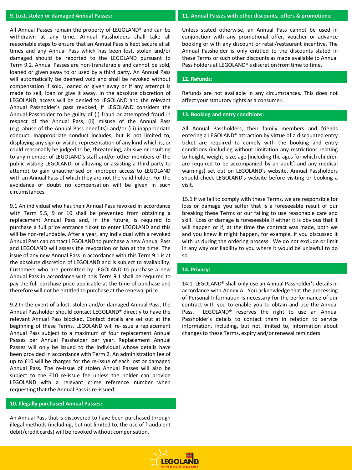#### **9. Lost, stolen or damaged Annual Passes:**

All Annual Passes remain the property of LEGOLAND® and can be withdrawn at any time. Annual Passholders shall take all reasonable steps to ensure that an Annual Pass is kept secure at all times and any Annual Pass which has been lost, stolen and/or damaged should be reported to the LEGOLAND pursuant to Term 9.2. Annual Passes are non-transferable and cannot be sold, loaned or given away to or used by a third party. An Annual Pass will automatically be deemed void and shall be revoked without compensation if sold, loaned or given away or if any attempt is made to sell, loan or give it away. In the absolute discretion of LEGOLAND, access will be denied to LEGOLAND and the relevant Annual Passholder's pass revoked, if LEGOLAND considers the Annual Passholder to be guilty of (i) fraud or attempted fraud in respect of the Annual Pass, (ii) misuse of the Annual Pass (e.g. abuse of the Annual Pass benefits): and/or (iii) inappropriate conduct. Inappropriate conduct includes, but is not limited to, displaying any sign or visible representation of any kind which is, or could reasonably be judged to be, threatening, abusive or insulting to any member of LEGOLAND's staff and/or other members of the public visiting LEGOLAND, or allowing or assisting a third party to attempt to gain unauthorised or improper access to LEGOLAND with an Annual Pass of which they are not the valid holder. For the avoidance of doubt no compensation will be given in such circumstances.

9.1 An individual who has their Annual Pass revoked in accordance with Term 5.5, 9 or 10 shall be prevented from obtaining a replacement Annual Pass and, in the future, is required to purchase a full price entrance ticket to enter LEGOLAND and this will be non-refundable. After a year, any individual with a revoked Annual Pass can contact LEGOLAND to purchase a new Annual Pass and LEGOLAND will assess the revocation or ban at the time. The issue of any new Annual Pass in accordance with this Term 9.1 is at the absolute discretion of LEGOLAND and is subject to availability. Customers who are permitted by LEGOLAND to purchase a new Annual Pass in accordance with this Term 9.1 shall be required to pay the full purchase price applicable at the time of purchase and therefore will not be entitled to purchase at the renewal price.

9.2 In the event of a lost, stolen and/or damaged Annual Pass, the Annual Passholder should contact LEGOLAND® directly to have the relevant Annual Pass blocked. Contact details are set out at the beginning of these Terms. LEGOLAND will re-issue a replacement Annual Pass subject to a maximum of four replacement Annual Passes per Annual Passholder per year. Replacement Annual Passes will only be issued to the individual whose details have been provided in accordance with Term 2. An administration fee of up to £10 will be charged for the re-issue of each lost or damaged Annual Pass. The re-issue of stolen Annual Passes will also be subject to the £10 re-issue fee unless the holder can provide LEGOLAND with a relevant crime reference number when requesting that the Annual Pass is re-issued.

### **10. Illegally purchased Annual Passes:**

An Annual Pass that is discovered to have been purchased through illegal methods (including, but not limited to, the use of fraudulent debit/credit cards) will be revoked without compensation.

#### **11. Annual Passes with other discounts, offers & promotions:**

Unless stated otherwise, an Annual Pass cannot be used in conjunction with any promotional offer, voucher or advance booking or with any discount or retail/restaurant incentive. The Annual Passholder is only entitled to the discounts stated in these Terms or such other discounts as made available to Annual Pass holders at LEGOLAND®'s discretion from time to time.

#### **12. Refunds:**

Refunds are not available in any circumstances. This does not affect your statutory rights as a consumer.

## **13. Booking and entry conditions:**

All Annual Passholders, their family members and friends entering a LEGOLAND® attraction by virtue of a discounted entry ticket are required to comply with the booking and entry conditions (including without limitation any restrictions relating to height, weight, size, age [including the ages for which children are required to be accompanied by an adult] and any medical warnings) set out on LEGOLAND's website. Annual Passholders should check LEGOLAND's website before visiting or booking a visit.

15.1 If we fail to comply with these Terms, we are responsible for loss or damage you suffer that is a foreseeable result of our breaking these Terms or our failing to use reasonable care and skill. Loss or damage is foreseeable if either it is obvious that it will happen or if, at the time the contract was made, both we and you knew it might happen, for example, if you discussed it with us during the ordering process. We do not exclude or limit in any way our liability to you where it would be unlawful to do so.

#### **14. Privacy:**

14.1. LEGOLAND® shall only use an Annual Passholder's details in accordance with Annex A. You acknowledge that the processing of Personal Information is necessary for the performance of our contract with you to enable you to obtain and use the Annual Pass. LEGOLAND**®** reserves the right to use an Annual Passholder's details to contact them in relation to service information, including, but not limited to, information about changes to these Terms, expiry and/or renewal reminders.

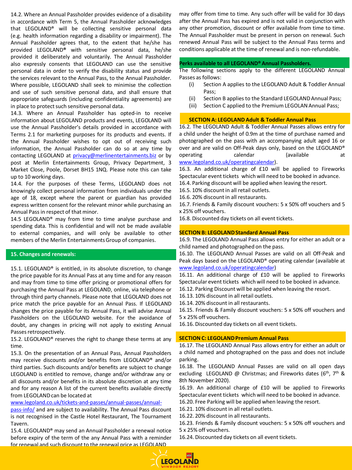14.2. Where an Annual Passholder provides evidence of a disability in accordance with Term 5, the Annual Passholder acknowledges that LEGOLAND® will be collecting sensitive personal data (e.g. health information regarding a disability or impairment). The Annual Passholder agrees that, to the extent that he/she has provided LEGOLAND**®** with sensitive personal data, he/she provided it deliberately and voluntarily. The Annual Passholder also expressly consents that LEGOLAND can use the sensitive personal data in order to verify the disability status and provide the services relevant to the Annual Pass, to the Annual Passholder. Where possible, LEGOLAND shall seek to minimise the collection and use of such sensitive personal data, and shall ensure that appropriate safeguards (including confidentiality agreements) are in place to protect such sensitive personal data.

14.3. Where an Annual Passholder has opted-in to receive information about LEGOLAND products and events, LEGOLAND will use the Annual Passholder's details provided in accordance with Terms 2.1 for marketing purposes for its products and events. If the Annual Passholder wishes to opt out of receiving such information, the Annual Passholder can do so at any time by contacting LEGOLAND at [privacy@merlinentertainments.biz](mailto:privacy@merlinentertainments.biz) or by post at Merlin Entertainments Group, Privacy Department, 3 Market Close, Poole, Dorset BH15 1NQ. Please note this can take up to 10 working days.

14.4. For the purposes of these Terms, LEGOLAND does not knowingly collect personal information from individuals under the age of 18, except where the parent or guardian has provided express written consent for the relevant minor while purchasing an Annual Passin respect of that minor.

14.5 LEGOLAND<sup>®</sup> may from time to time analyse purchase and spending data. This is confidential and will not be made available to external companies, and will only be available to other members of the Merlin EntertainmentsGroup of companies.

## **15. Changes and renewals:**

15.1. LEGOLAND® is entitled, in its absolute discretion, to change the price payable for its Annual Pass at any time and for any reason and may from time to time offer pricing or promotional offers for purchasing the Annual Pass at LEGOLAND, online, via telephone or through third party channels. Please note that LEGOLAND does not price match the price payable for an Annual Pass. If LEGOLAND changes the price payable for its Annual Pass, it will advise Annual Passholders on the LEGOLAND website. For the avoidance of doubt, any changes in pricing will not apply to existing Annual Passes retrospectively.

15.2. LEGOLAND® reserves the right to change these terms at any time.

15.3. On the presentation of an Annual Pass, Annual Passholders may receive discounts and/or benefits from LEGOLAND® and/or third parties. Such discounts and/or benefits are subject to change LEGOLAND is entitled to remove, change and/or withdraw any or all discounts and/or benefits in its absolute discretion at any time and for any reason A list of the current benefits available directly from LEGOLAND can be located at

[www.legoland.co.uk/tickets-and-passes/annual-passes/annual-](http://www.legoland.co.uk/tickets-and-passes/annual-passes/annual-pass-info/)

pass-info/ and are subject to availability. The Annual Pass discount is not recognised in the Castle Hotel Restaurant, The Tournament Tavern.

15.4. LEGOLAND® may send an Annual Passholder a renewal notice before expiry of the term of the any Annual Pass with a reminder for renewal and such discount to the renewal price as LEGOLAND

may offer from time to time. Any such offer will be valid for 30 days after the Annual Pass has expired and is not valid in conjunction with any other promotion, discount or offer available from time to time. The Annual Passholder must be present in person on renewal. Such renewed Annual Pass will be subject to the Annual Pass terms and conditions applicable at the time of renewal and is non-refundable.

## **Perks available to all LEGOLAND®Annual Passholders.**

The following sections apply to the different LEGOLAND Annual Passes as follows:

- (i) Section A applies to the LEGOLAND Adult & Toddler Annual Pass;
- (ii) Section B applies to the Standard LEGOLAND Annual Pass;
- (iii) Section C applied to the Premium LEGOLANAnnual Pass;

### **SECTIONA: LEGOLAND Adult & Toddler Annual Pass**

16.2. The LEGOLAND Adult & Toddler Annual Passes allows entry for a child under the height of 0.9m at the time of purchase named and photographed on the pass with an accompanying adult aged 16 or over and are valid on Off-Peak days only, based on the LEGOLAND® operating calendar (available

# [www.legoland.co.uk/operatingcalendar\)](http://www.legoland.co.uk/operatingcalendar).

16.3. An additional charge of £10 will be applied to Fireworks Spectacular event tickets which will need to be booked in advance. 16.4. Parking discount will be applied when leaving the resort.

- 16.5. 10% discountin all retail outlets.
- 16.6. 20% discount in all restaurants.

16.7. Friends & Family discount vouchers: 5 x 50% off vouchers and 5 x 25% off vouchers.

16.8. Discounted day tickets on all event tickets.

## **SECTIONB: LEGOLANDStandard Annual Pass**

16.9. The LEGOLAND Annual Pass allows entry for either an adult or a child named and photographed on the pass.

16.10. The LEGOLAND Annual Passes are valid on all Off-Peak and Peak days based on the LEGOLAND® operating calendar (available at [www.legoland.co.uk/operatingcalendar\)](http://www.legoland.co.uk/operatingcalendar)

16.11. An additional charge of £10 will be applied to Fireworks Spectacular event tickets which will need to be booked in advance. 16.12. Parking Discount will be applied when leaving the resort.

16.13. 10% discount in all retail outlets.

16.14. 20% discount in all restaurants.

16.15. Friends & Family discount vouchers: 5 x 50% off vouchers and 5 x 25% off vouchers.

16.16. Discounted day tickets on all event tickets.

## **SECTIONC: LEGOLANDPremium Annual Pass**

16.17. The LEGOLAND Annual Pass allows entry for either an adult or a child named and photographed on the pass and does not include parking.

16.18. The LEGOLAND Annual Passes are valid on all open days excluding LEGOLAND @ Christmas; and Fireworks dates (6<sup>th</sup>, 7<sup>th</sup> & 8th November 2020).

16.19. An additional charge of £10 will be applied to Fireworks Spectacular event tickets which will need to be booked in advance.

16.20. Free Parking will be applied when leaving the resort.

16.21. 10% discount in all retail outlets.

16.22. 20% discount in all restaurants.

16.23. Friends & Family discount vouchers: 5 x 50% off vouchers and 5 x 25% off vouchers.

16.24. Discounted day tickets on all event tickets.